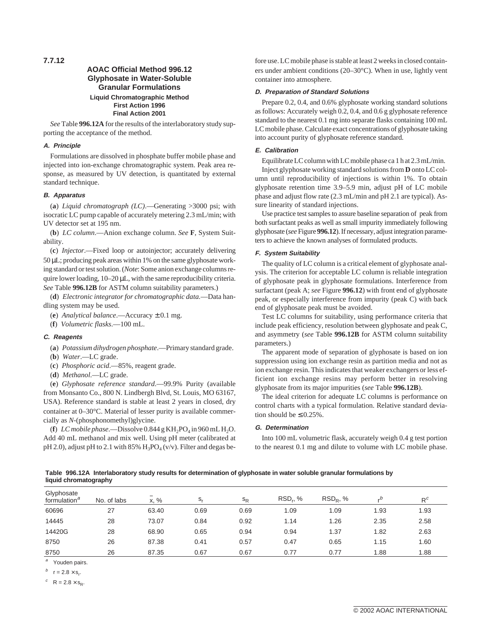**7.7.12**

# **AOAC Official Method 996.12 Glyphosate in Water-Soluble Granular Formulations Liquid Chromatographic Method First Action 1996 Final Action 2001**

*See* Table **996.12A** for the results of the interlaboratory study supporting the acceptance of the method.

## **A. Principle**

Formulations are dissolved in phosphate buffer mobile phase and injected into ion-exchange chromatographic system. Peak area response, as measured by UV detection, is quantitated by external standard technique.

#### **B. Apparatus**

(**a**) *Liquid chromatograph (LC)*.—Generating >3000 psi; with isocratic LC pump capable of accurately metering 2.3 mL/min; with UV detector set at 195 nm.

(**b**) *LC column*.—Anion exchange column. *See* **F**, System Suitability.

(**c**) *Injector*.—Fixed loop or autoinjector; accurately delivering  $50 \mu L$ ; producing peak areas within 1% on the same glyphosate working standard or test solution. (*Note*: Some anion exchange columns require lower loading,  $10-20 \mu L$ , with the same reproducibility criteria. *See* Table **996.12B** for ASTM column suitability parameters.)

(**d**) *Electronic integrator for chromatographic data.*—Data handling system may be used.

(**e**) *Analytical balance*.—Accuracy ± 0.1 mg.

(**f**) *Volumetric flasks*.—100 mL.

#### **C. Reagents**

- (**a**) *Potassium dihydrogen phosphate*.—Primary standard grade.
- (**b**) *Water*.—LC grade.
- (**c**) *Phosphoric acid*.—85%, reagent grade.
- (**d**) *Methanol*.—LC grade.

(**e**) *Glyphosate reference standard*.—99.9% Purity (available from Monsanto Co., 800 N. Lindbergh Blvd, St. Louis, MO 63167, USA). Reference standard is stable at least 2 years in closed, dry container at 0–30°C. Material of lesser purity is available commercially as *N*-(phosphonomethyl)glycine.

(**f**)  $LC \text{ mobile phase.}$  -Dissolve 0.844 g KH<sub>2</sub>PO<sub>4</sub> in 960 mL H<sub>2</sub>O. Add 40 mL methanol and mix well. Using pH meter (calibrated at pH 2.0), adjust pH to 2.1 with  $85\%$  H<sub>3</sub>PO<sub>4</sub> (v/v). Filter and degas be-

fore use. LC mobile phase is stable at least 2 weeks in closed containers under ambient conditions (20–30°C). When in use, lightly vent container into atmosphere.

## **D. Preparation of Standard Solutions**

Prepare 0.2, 0.4, and 0.6% glyphosate working standard solutions as follows: Accurately weigh 0.2, 0.4, and 0.6 g glyphosate reference standard to the nearest 0.1 mg into separate flasks containing 100 mL LC mobile phase. Calculate exact concentrations of glyphosate taking into account purity of glyphosate reference standard.

## **E. Calibration**

Equilibrate LC column with LC mobile phase ca 1 h at 2.3mL/min.

Inject glyphosate working standard solutions from **D** onto LC column until reproducibility of injections is within 1%. To obtain glyphosate retention time 3.9–5.9 min, adjust pH of LC mobile phase and adjust flow rate (2.3 mL/min and pH 2.1 are typical). Assure linearity of standard injections.

Use practice test samples to assure baseline separation of peak from both surfactant peaks as well as small impurity immediately following glyphosate (*see*Figure **996.12**). If necessary, adjust integration parameters to achieve the known analyses of formulated products.

### **F. System Suitability**

The quality of LC column is a critical element of glyphosate analysis. The criterion for acceptable LC column is reliable integration of glyphosate peak in glyphosate formulations. Interference from surfactant (peak A; *see* Figure **996.12**) with front end of glyphosate peak, or especially interference from impurity (peak C) with back end of glyphosate peak must be avoided.

Test LC columns for suitability, using performance criteria that include peak efficiency, resolution between glyphosate and peak C, and asymmetry (*see* Table **996.12B** for ASTM column suitability parameters.)

The apparent mode of separation of glyphosate is based on ion suppression using ion exchange resin as partition media and not as ion exchange resin. This indicates that weaker exchangers or less efficient ion exchange resins may perform better in resolving glyphosate from its major impurities (*see* Table **996.12B**).

The ideal criterion for adequate LC columns is performance on control charts with a typical formulation. Relative standard deviation should be  $\leq 0.25\%$ .

## **G. Determination**

Into 100 mL volumetric flask, accurately weigh 0.4 g test portion to the nearest 0.1 mg and dilute to volume with LC mobile phase.

**Table 996.12A Interlaboratory study results for determination of glyphosate in water soluble granular formulations by liquid chromatography**

| Glyphosate<br>formulation <sup>"</sup> | No. of labs | x, %  | s,   | $s_{R}$ | <b>RSD., %</b> | RSD <sub>B</sub> , % |      | $R^c$ |
|----------------------------------------|-------------|-------|------|---------|----------------|----------------------|------|-------|
| 60696                                  | 27          | 63.40 | 0.69 | 0.69    | 1.09           | 1.09                 | 1.93 | 1.93  |
| 14445                                  | 28          | 73.07 | 0.84 | 0.92    | 1.14           | 1.26                 | 2.35 | 2.58  |
| 14420G                                 | 28          | 68.90 | 0.65 | 0.94    | 0.94           | 1.37                 | 1.82 | 2.63  |
| 8750                                   | 26          | 87.38 | 0.41 | 0.57    | 0.47           | 0.65                 | 1.15 | 1.60  |
| 8750                                   | 26          | 87.35 | 0.67 | 0.67    | 0.77           | 0.77                 | 1.88 | 1.88  |

<sup>a</sup> Youden pairs.

 $b \r = 2.8 \times s_r$ .

 $c$  R = 2.8  $\times$  s<sub>R</sub>.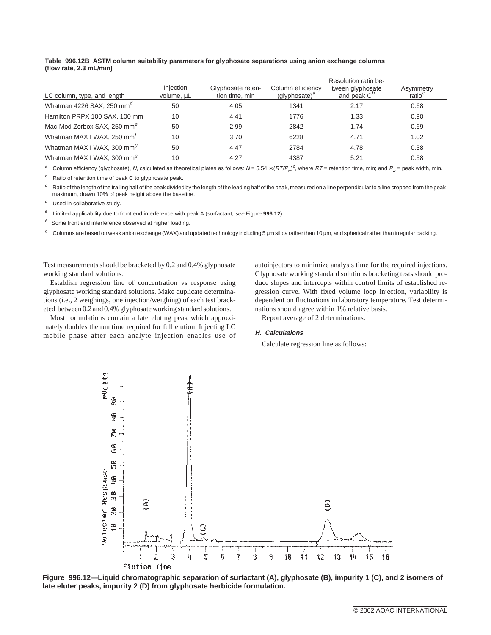| LC column, type, and length             | Injection<br>volume, µL | Glyphosate reten-<br>tion time, min | Column efficiency<br>(glyphosate) $^a$ | Resolution ratio be-<br>tween glyphosate<br>and peak $C^D$ | Asymmetry<br>ratio $c$ |
|-----------------------------------------|-------------------------|-------------------------------------|----------------------------------------|------------------------------------------------------------|------------------------|
| Whatman 4226 SAX, 250 mm <sup>d</sup>   | 50                      | 4.05                                | 1341                                   | 2.17                                                       | 0.68                   |
| Hamilton PRPX 100 SAX, 100 mm           | 10                      | 4.41                                | 1776                                   | 1.33                                                       | 0.90                   |
| Mac-Mod Zorbox SAX, 250 mm <sup>e</sup> | 50                      | 2.99                                | 2842                                   | 1.74                                                       | 0.69                   |
| Whatman MAX I WAX, 250 mm <sup>t</sup>  | 10                      | 3.70                                | 6228                                   | 4.71                                                       | 1.02                   |
| Whatman MAX I WAX, 300 mm <sup>9</sup>  | 50                      | 4.47                                | 2784                                   | 4.78                                                       | 0.38                   |
| Whatman MAX I WAX, 300 mm <sup>g</sup>  | 10                      | 4.27                                | 4387                                   | 5.21                                                       | 0.58                   |

### **Table 996.12B ASTM column suitability parameters for glyphosate separations using anion exchange columns (flow rate, 2.3 mL/min)**

a Column efficiency (glyphosate), N, calculated as theoretical plates as follows:  $N = 5.54 \times (RT/P_w)^2$ , where  $RT =$  retention time, min; and  $P_w =$  peak width, min.

 $b$  Ratio of retention time of peak C to glyphosate peak.

Ratio of the length of the trailing half of the peak divided by the length of the leading half of the peak, measured on a line perpendicular to a line cropped from the peak maximum, drawn 10% of peak height above the baseline.

 $d$  Used in collaborative study.

<sup>e</sup> Limited applicability due to front end interference with peak A (surfactant, see Figure **996.12**).

Some front end interference observed at higher loading.

Columns are based on weak anion exchange (WAX) and updated technology including 5 µm silica rather than 10 µm, and spherical rather than irregular packing.

Test measurements should be bracketed by 0.2 and 0.4% glyphosate working standard solutions.

Establish regression line of concentration vs response using glyphosate working standard solutions. Make duplicate determinations (i.e., 2 weighings, one injection/weighing) of each test bracketed between 0.2 and 0.4% glyphosate working standard solutions.

Most formulations contain a late eluting peak which approximately doubles the run time required for full elution. Injecting LC mobile phase after each analyte injection enables use of autoinjectors to minimize analysis time for the required injections. Glyphosate working standard solutions bracketing tests should produce slopes and intercepts within control limits of established regression curve. With fixed volume loop injection, variability is dependent on fluctuations in laboratory temperature. Test determinations should agree within 1% relative basis.

Report average of 2 determinations.

#### **H. Calculations**

Calculate regression line as follows:



**Figure 996.12—Liquid chromatographic separation of surfactant (A), glyphosate (B), impurity 1 (C), and 2 isomers of late eluter peaks, impurity 2 (D) from glyphosate herbicide formulation.**